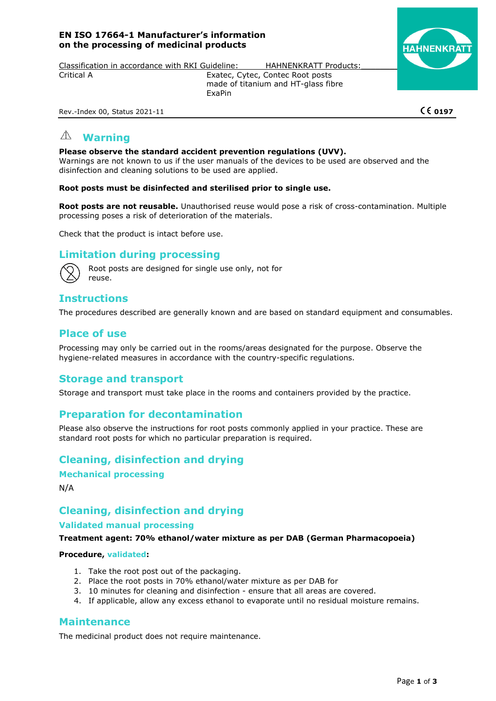### **EN ISO 17664-1 Manufacturer's information on the processing of medicinal products**



Classification in accordance with RKI Guideline: HAHNENKRATT Products: Critical A Exatec, Cytec, Contec Root posts

made of titanium and HT-glass fibre ExaPin

Rev.-Index 00, Status 2021-11 **020 197 0197** 

#### $\bigwedge$ **Warning**

### **Please observe the standard accident prevention regulations (UVV).**

Warnings are not known to us if the user manuals of the devices to be used are observed and the disinfection and cleaning solutions to be used are applied.

#### **Root posts must be disinfected and sterilised prior to single use.**

**Root posts are not reusable.** Unauthorised reuse would pose a risk of cross-contamination. Multiple processing poses a risk of deterioration of the materials.

Check that the product is intact before use.

# **Limitation during processing**



Root posts are designed for single use only, not for reuse.

# **Instructions**

The procedures described are generally known and are based on standard equipment and consumables.

# **Place of use**

Processing may only be carried out in the rooms/areas designated for the purpose. Observe the hygiene-related measures in accordance with the country-specific regulations.

# **Storage and transport**

Storage and transport must take place in the rooms and containers provided by the practice.

# **Preparation for decontamination**

Please also observe the instructions for root posts commonly applied in your practice. These are standard root posts for which no particular preparation is required.

**Cleaning, disinfection and drying** 

**Mechanical processing** 

N/A

# **Cleaning, disinfection and drying**

### **Validated manual processing**

#### **Treatment agent: 70% ethanol/water mixture as per DAB (German Pharmacopoeia)**

#### **Procedure, validated:**

- 1. Take the root post out of the packaging.
- 2. Place the root posts in 70% ethanol/water mixture as per DAB for
- 3. 10 minutes for cleaning and disinfection ensure that all areas are covered.
- 4. If applicable, allow any excess ethanol to evaporate until no residual moisture remains.

### **Maintenance**

The medicinal product does not require maintenance.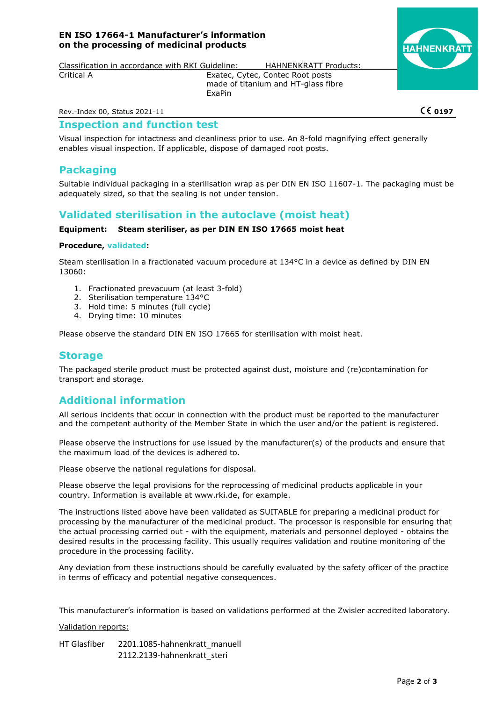### **EN ISO 17664-1 Manufacturer's information on the processing of medicinal products**



Classification in accordance with RKI Guideline: HAHNENKRATT Products: Critical A Exatec, Cytec, Contec Root posts

made of titanium and HT-glass fibre ExaPin

Rev.-Index 00, Status 2021-11 **020 197 0197** 

### **Inspection and function test**

Visual inspection for intactness and cleanliness prior to use. An 8-fold magnifying effect generally enables visual inspection. If applicable, dispose of damaged root posts.

# **Packaging**

Suitable individual packaging in a sterilisation wrap as per DIN EN ISO 11607-1. The packaging must be adequately sized, so that the sealing is not under tension.

# **Validated sterilisation in the autoclave (moist heat)**

#### **Equipment: Steam steriliser, as per DIN EN ISO 17665 moist heat**

#### **Procedure, validated:**

Steam sterilisation in a fractionated vacuum procedure at 134°C in a device as defined by DIN EN 13060:

- 1. Fractionated prevacuum (at least 3-fold)
- 2. Sterilisation temperature 134°C
- 3. Hold time: 5 minutes (full cycle)
- 4. Drying time: 10 minutes

Please observe the standard DIN EN ISO 17665 for sterilisation with moist heat.

## **Storage**

The packaged sterile product must be protected against dust, moisture and (re)contamination for transport and storage.

# **Additional information**

All serious incidents that occur in connection with the product must be reported to the manufacturer and the competent authority of the Member State in which the user and/or the patient is registered.

Please observe the instructions for use issued by the manufacturer(s) of the products and ensure that the maximum load of the devices is adhered to.

Please observe the national regulations for disposal.

Please observe the legal provisions for the reprocessing of medicinal products applicable in your country. Information is available at www.rki.de, for example.

The instructions listed above have been validated as SUITABLE for preparing a medicinal product for processing by the manufacturer of the medicinal product. The processor is responsible for ensuring that the actual processing carried out - with the equipment, materials and personnel deployed - obtains the desired results in the processing facility. This usually requires validation and routine monitoring of the procedure in the processing facility.

Any deviation from these instructions should be carefully evaluated by the safety officer of the practice in terms of efficacy and potential negative consequences.

This manufacturer's information is based on validations performed at the Zwisler accredited laboratory.

Validation reports:

HT Glasfiber 2201.1085-hahnenkratt\_manuell 2112.2139-hahnenkratt\_steri